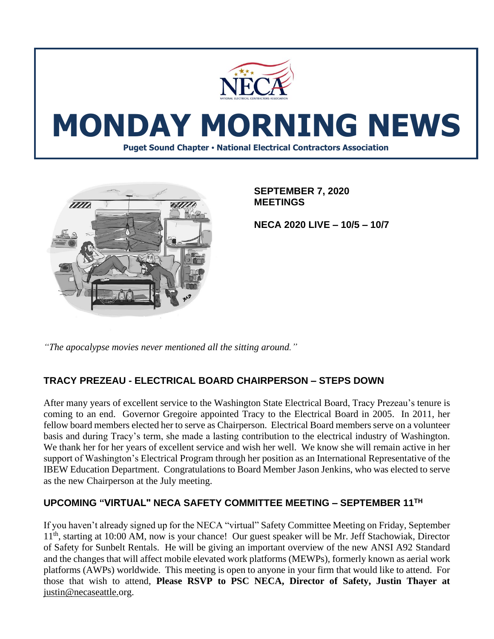



**SEPTEMBER 7, 2020 MEETINGS**

**NECA 2020 LIVE – 10/5 – 10/7**

*"The apocalypse movies never mentioned all the sitting around."*

## **TRACY PREZEAU - ELECTRICAL BOARD CHAIRPERSON – STEPS DOWN**

After many years of excellent service to the Washington State Electrical Board, Tracy Prezeau's tenure is coming to an end. Governor Gregoire appointed Tracy to the Electrical Board in 2005. In 2011, her fellow board members elected her to serve as Chairperson. Electrical Board members serve on a volunteer basis and during Tracy's term, she made a lasting contribution to the electrical industry of Washington. We thank her for her years of excellent service and wish her well. We know she will remain active in her support of Washington's Electrical Program through her position as an International Representative of the IBEW Education Department. Congratulations to Board Member Jason Jenkins, who was elected to serve as the new Chairperson at the July meeting.

## **UPCOMING "VIRTUAL" NECA SAFETY COMMITTEE MEETING – SEPTEMBER 11TH**

If you haven't already signed up for the NECA "virtual" Safety Committee Meeting on Friday, September 11<sup>th</sup>, starting at 10:00 AM, now is your chance! Our guest speaker will be Mr. Jeff Stachowiak, Director of Safety for Sunbelt Rentals. He will be giving an important overview of the new ANSI A92 Standard and the changes that will affect mobile elevated work platforms (MEWPs), formerly known as aerial work platforms (AWPs) worldwide. This meeting is open to anyone in your firm that would like to attend. For those that wish to attend, **Please RSVP to PSC NECA, Director of Safety, Justin Thayer at**  [justin@necaseattle.org.](mailto:justin@necaseattle.org)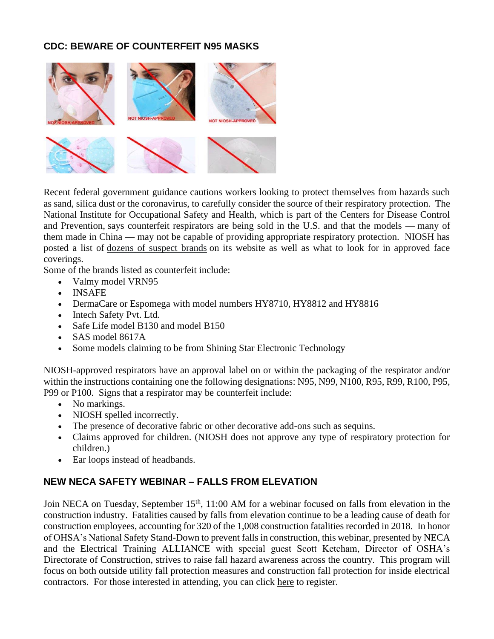# **CDC: BEWARE OF COUNTERFEIT N95 MASKS**



Recent federal government guidance cautions workers looking to protect themselves from hazards such as sand, silica dust or the coronavirus, to carefully consider the source of their respiratory protection. The National Institute for Occupational Safety and Health, which is part of the Centers for Disease Control and Prevention, says counterfeit respirators are being sold in the U.S. and that the models — many of them made in China — may not be capable of providing appropriate respiratory protection. NIOSH has posted a list of [dozens of suspect brands](https://www.cdc.gov/niosh/npptl/usernotices/counterfeitResp.html) on its website as well as what to look for in approved face coverings.

Some of the brands listed as counterfeit include:

- Valmy model VRN95
- INSAFE
- DermaCare or Espomega with model numbers HY8710, HY8812 and HY8816
- Intech Safety Pvt. Ltd.
- Safe Life model B130 and model B150
- SAS model 8617A
- Some models claiming to be from Shining Star Electronic Technology

NIOSH-approved respirators have an approval label on or within the packaging of the respirator and/or within the instructions containing one the following designations: N95, N99, N100, R95, R99, R100, P95, P99 or P100. Signs that a respirator may be counterfeit include:

- No markings.
- NIOSH spelled incorrectly.
- The presence of decorative fabric or other decorative add-ons such as sequins.
- Claims approved for children. (NIOSH does not approve any type of respiratory protection for children.)
- Ear loops instead of headbands.

# **NEW NECA SAFETY WEBINAR – FALLS FROM ELEVATION**

Join NECA on Tuesday, September 15<sup>th</sup>, 11:00 AM for a webinar focused on falls from elevation in the construction industry. Fatalities caused by falls from elevation continue to be a leading cause of death for construction employees, accounting for 320 of the 1,008 construction fatalities recorded in 2018. In honor of OHSA's National Safety Stand-Down to prevent falls in construction, this webinar, presented by NECA and the Electrical Training ALLIANCE with special guest Scott Ketcham, Director of OSHA's Directorate of Construction, strives to raise fall hazard awareness across the country. This program will focus on both outside utility fall protection measures and construction fall protection for inside electrical contractors. For those interested in attending, you can click [here](https://courses.necanet.org/course/session/details/719) to register.